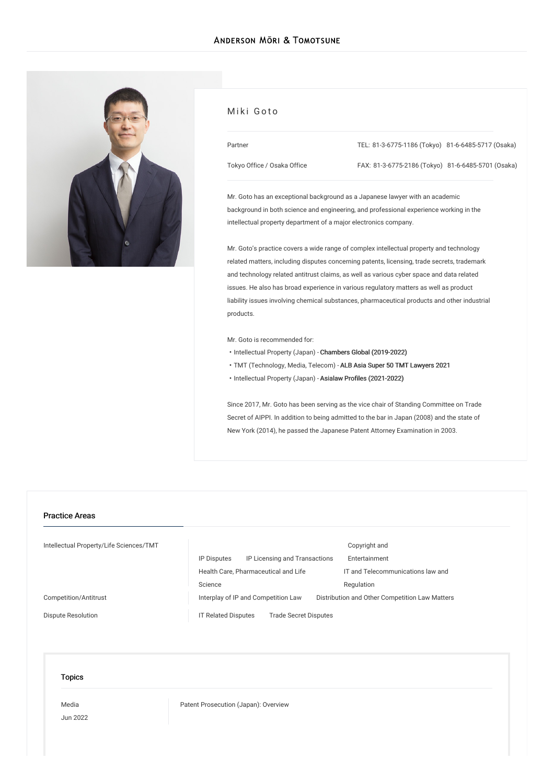

#### Miki Goto

| Partner                     | TEL: 81-3-6775-1186 (Tokyo) 81-6-6485-5717 (Osaka) |  |
|-----------------------------|----------------------------------------------------|--|
| Tokyo Office / Osaka Office | FAX: 81-3-6775-2186 (Tokyo) 81-6-6485-5701 (Osaka) |  |

Mr. Goto has an exceptional background as a Japanese lawyer with an academic background in both science and engineering, and professional experience working in the intellectual property department of a major electronics company.

Mr. Goto's practice covers a wide range of complex intellectual property and technology related matters, including disputes concerning patents, licensing, trade secrets, trademark and technology related antitrust claims, as well as various cyber space and data related issues. He also has broad experience in various regulatory matters as well as product liability issues involving chemical substances, pharmaceutical products and other industrial products.

Mr. Goto is recommended for:

- ・Intellectual Property (Japan) Chambers Global (2019-2022)
- ・TMT (Technology, Media, Telecom) ALB Asia Super 50 TMT Lawyers 2021
- ・Intellectual Property (Japan) Asialaw Profiles (2021-2022)

Since 2017, Mr. Goto has been serving as the vice chair of Standing Committee on Trade Secret of AIPPI. In addition to being admitted to the bar in Japan (2008) and the state of New York (2014), he passed the Japanese Patent Attorney Examination in 2003.

#### Practice Areas

| Intellectual Property/Life Sciences/TMT |                                                            | Copyright and                                  |
|-----------------------------------------|------------------------------------------------------------|------------------------------------------------|
|                                         | IP Licensing and Transactions<br><b>IP Disputes</b>        | Entertainment                                  |
|                                         | Health Care, Pharmaceutical and Life                       | IT and Telecommunications law and              |
|                                         | Science                                                    | Regulation                                     |
| Competition/Antitrust                   | Interplay of IP and Competition Law                        | Distribution and Other Competition Law Matters |
| Dispute Resolution                      | <b>IT Related Disputes</b><br><b>Trade Secret Disputes</b> |                                                |
|                                         |                                                            |                                                |
|                                         |                                                            |                                                |

#### Topics

[Media](/en/publications/media/) Jun 2022 Patent [Prosecution](/en/publications/detail/publication_0025109_en_001) (Japan): Overview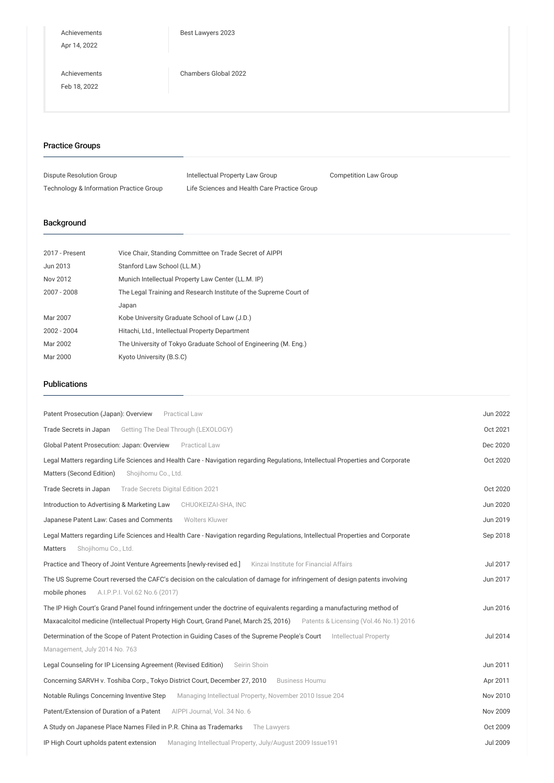| Achievements | Best Lawyers 2023    |
|--------------|----------------------|
| Apr 14, 2022 |                      |
| Achievements | Chambers Global 2022 |
| Feb 18, 2022 |                      |
|              |                      |
|              |                      |
|              |                      |

# Practice Groups

| Dispute Resolution Group                | Intellectual Property Law Group              | Competition Law Group |
|-----------------------------------------|----------------------------------------------|-----------------------|
| Technology & Information Practice Group | Life Sciences and Health Care Practice Group |                       |

# Background

| 2017 - Present | Vice Chair, Standing Committee on Trade Secret of AIPPI           |
|----------------|-------------------------------------------------------------------|
| Jun 2013       | Stanford Law School (LL.M.)                                       |
| Nov 2012       | Munich Intellectual Property Law Center (LL.M. IP)                |
| 2007 - 2008    | The Legal Training and Research Institute of the Supreme Court of |
|                | Japan                                                             |
| Mar 2007       | Kobe University Graduate School of Law (J.D.)                     |
| 2002 - 2004    | Hitachi, Ltd., Intellectual Property Department                   |
| Mar 2002       | The University of Tokyo Graduate School of Engineering (M. Eng.)  |
| Mar 2000       | Kyoto University (B.S.C)                                          |
|                |                                                                   |

# Publications

| Patent Prosecution (Japan): Overview<br><b>Practical Law</b>                                                                    | Jun 2022        |
|---------------------------------------------------------------------------------------------------------------------------------|-----------------|
| Getting The Deal Through (LEXOLOGY)<br>Trade Secrets in Japan                                                                   | Oct 2021        |
| Global Patent Prosecution: Japan: Overview<br><b>Practical Law</b>                                                              | Dec 2020        |
| Legal Matters regarding Life Sciences and Health Care - Navigation regarding Regulations, Intellectual Properties and Corporate | Oct 2020        |
| Matters (Second Edition)<br>Shojihomu Co., Ltd.                                                                                 |                 |
| Trade Secrets in Japan<br>Trade Secrets Digital Edition 2021                                                                    | Oct 2020        |
| Introduction to Advertising & Marketing Law<br>CHUOKEIZAI-SHA, INC                                                              | Jun 2020        |
| Wolters Kluwer<br>Japanese Patent Law: Cases and Comments                                                                       | Jun 2019        |
| Legal Matters regarding Life Sciences and Health Care - Navigation regarding Regulations, Intellectual Properties and Corporate | Sep 2018        |
| Shojihomu Co., Ltd.<br>Matters                                                                                                  |                 |
| Practice and Theory of Joint Venture Agreements [newly-revised ed.]<br>Kinzai Institute for Financial Affairs                   | Jul 2017        |
| The US Supreme Court reversed the CAFC's decision on the calculation of damage for infringement of design patents involving     | Jun 2017        |
| mobile phones<br>A.I.P.P.I. Vol.62 No.6 (2017)                                                                                  |                 |
| The IP High Court's Grand Panel found infringement under the doctrine of equivalents regarding a manufacturing method of        | Jun 2016        |
| Maxacalcitol medicine (Intellectual Property High Court, Grand Panel, March 25, 2016)<br>Patents & Licensing (Vol.46 No.1) 2016 |                 |
| Determination of the Scope of Patent Protection in Guiding Cases of the Supreme People's Court<br>Intellectual Property         | <b>Jul 2014</b> |
| Management, July 2014 No. 763                                                                                                   |                 |
| Legal Counseling for IP Licensing Agreement (Revised Edition)<br>Seirin Shoin                                                   | Jun 2011        |
| Concerning SARVH v. Toshiba Corp., Tokyo District Court, December 27, 2010<br><b>Business Houmu</b>                             | Apr 2011        |
| Notable Rulings Concerning Inventive Step<br>Managing Intellectual Property, November 2010 Issue 204                            | Nov 2010        |
| Patent/Extension of Duration of a Patent<br>AIPPI Journal, Vol. 34 No. 6                                                        | Nov 2009        |
| A Study on Japanese Place Names Filed in P.R. China as Trademarks<br>The Lawyers                                                | Oct 2009        |
| Managing Intellectual Property, July/August 2009 Issue191<br>IP High Court upholds patent extension                             | <b>Jul 2009</b> |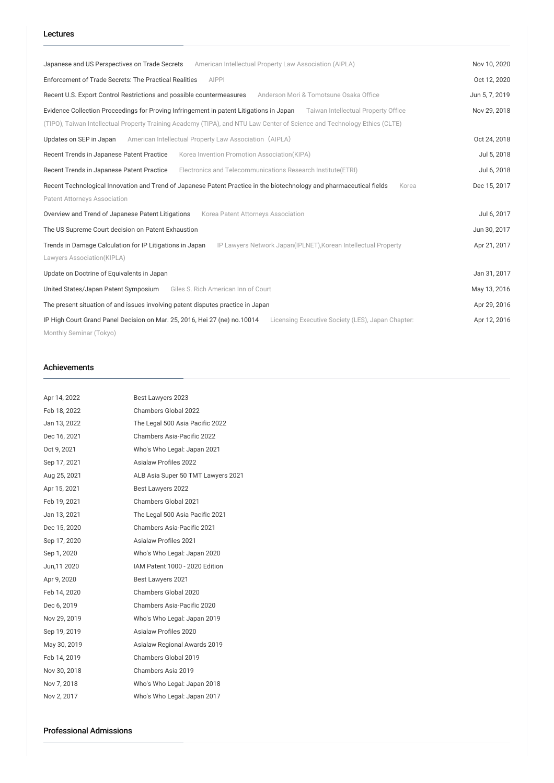## Lectures

| Japanese and US Perspectives on Trade Secrets<br>American Intellectual Property Law Association (AIPLA)                                       | Nov 10, 2020   |
|-----------------------------------------------------------------------------------------------------------------------------------------------|----------------|
| <b>Enforcement of Trade Secrets: The Practical Realities</b><br><b>AIPPI</b>                                                                  | Oct 12, 2020   |
| Recent U.S. Export Control Restrictions and possible countermeasures<br>Anderson Mori & Tomotsune Osaka Office                                | Jun 5, 7, 2019 |
| Evidence Collection Proceedings for Proving Infringement in patent Litigations in Japan<br>Taiwan Intellectual Property Office                | Nov 29, 2018   |
| (TIPO), Taiwan Intellectual Property Training Academy (TIPA), and NTU Law Center of Science and Technology Ethics (CLTE)                      |                |
| American Intellectual Property Law Association (AIPLA)<br>Updates on SEP in Japan                                                             | Oct 24, 2018   |
| Recent Trends in Japanese Patent Practice<br>Korea Invention Promotion Association(KIPA)                                                      | Jul 5, 2018    |
| Recent Trends in Japanese Patent Practice<br>Electronics and Telecommunications Research Institute(ETRI)                                      | Jul 6, 2018    |
| Recent Technological Innovation and Trend of Japanese Patent Practice in the biotechnology and pharmaceutical fields<br>Dec 15, 2017<br>Korea |                |
| <b>Patent Attorneys Association</b>                                                                                                           |                |
| Overview and Trend of Japanese Patent Litigations<br>Korea Patent Attorneys Association                                                       | Jul 6, 2017    |
| The US Supreme Court decision on Patent Exhaustion                                                                                            | Jun 30, 2017   |
| Trends in Damage Calculation for IP Litigations in Japan<br>IP Lawyers Network Japan(IPLNET), Korean Intellectual Property                    | Apr 21, 2017   |
| Lawyers Association(KIPLA)                                                                                                                    |                |
| Update on Doctrine of Equivalents in Japan                                                                                                    | Jan 31, 2017   |
| United States/Japan Patent Symposium<br>Giles S. Rich American Inn of Court                                                                   | May 13, 2016   |
| The present situation of and issues involving patent disputes practice in Japan                                                               | Apr 29, 2016   |
| IP High Court Grand Panel Decision on Mar. 25, 2016, Hei 27 (ne) no.10014<br>Licensing Executive Society (LES), Japan Chapter:                | Apr 12, 2016   |
| Monthly Seminar (Tokyo)                                                                                                                       |                |

## Achievements

| Apr 14, 2022 | Best Lawyers 2023                  |
|--------------|------------------------------------|
| Feb 18, 2022 | Chambers Global 2022               |
| Jan 13, 2022 | The Legal 500 Asia Pacific 2022    |
| Dec 16, 2021 | Chambers Asia-Pacific 2022         |
| Oct 9, 2021  | Who's Who Legal: Japan 2021        |
| Sep 17, 2021 | <b>Asialaw Profiles 2022</b>       |
| Aug 25, 2021 | ALB Asia Super 50 TMT Lawyers 2021 |
| Apr 15, 2021 | Best Lawyers 2022                  |
| Feb 19, 2021 | Chambers Global 2021               |
| Jan 13, 2021 | The Legal 500 Asia Pacific 2021    |
| Dec 15, 2020 | <b>Chambers Asia-Pacific 2021</b>  |
| Sep 17, 2020 | <b>Asialaw Profiles 2021</b>       |
| Sep 1, 2020  | Who's Who Legal: Japan 2020        |
| Jun, 11 2020 | IAM Patent 1000 - 2020 Edition     |
| Apr 9, 2020  | Best Lawyers 2021                  |
| Feb 14, 2020 | Chambers Global 2020               |
| Dec 6, 2019  | Chambers Asia-Pacific 2020         |
| Nov 29, 2019 | Who's Who Legal: Japan 2019        |
| Sep 19, 2019 | Asialaw Profiles 2020              |
| May 30, 2019 | Asialaw Regional Awards 2019       |
| Feb 14, 2019 | Chambers Global 2019               |
| Nov 30, 2018 | Chambers Asia 2019                 |
| Nov 7, 2018  | Who's Who Legal: Japan 2018        |
| Nov 2, 2017  | Who's Who Legal: Japan 2017        |